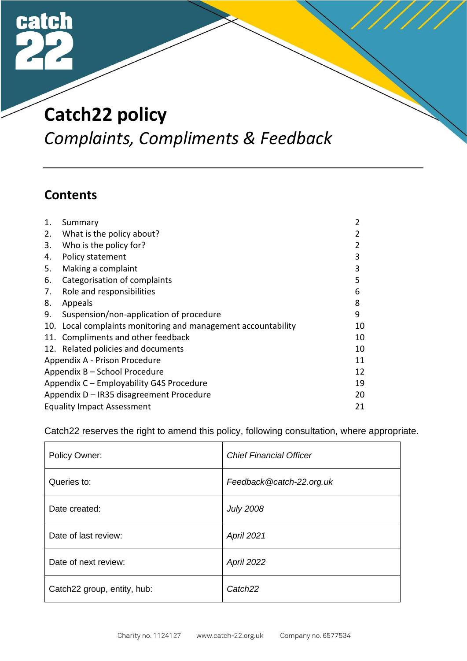

# **Catch22 policy**

*Complaints, Compliments & Feedback*

## **Contents**

| 1. | Summary                                                       | 2  |
|----|---------------------------------------------------------------|----|
| 2. | What is the policy about?                                     | 2  |
| 3. | Who is the policy for?                                        | 2  |
| 4. | Policy statement                                              | 3  |
| 5. | Making a complaint                                            | 3  |
| 6. | Categorisation of complaints                                  | 5  |
| 7. | Role and responsibilities                                     | 6  |
| 8. | Appeals                                                       | 8  |
| 9. | Suspension/non-application of procedure                       | 9  |
|    | 10. Local complaints monitoring and management accountability | 10 |
|    | 11. Compliments and other feedback                            | 10 |
|    | 12. Related policies and documents                            | 10 |
|    | Appendix A - Prison Procedure                                 | 11 |
|    | Appendix B - School Procedure                                 | 12 |
|    | Appendix C - Employability G4S Procedure                      | 19 |
|    | Appendix D - IR35 disagreement Procedure                      | 20 |
|    | <b>Equality Impact Assessment</b>                             | 21 |

Catch22 reserves the right to amend this policy, following consultation, where appropriate.

| Policy Owner:               | <b>Chief Financial Officer</b> |
|-----------------------------|--------------------------------|
| Queries to:                 | Feedback@catch-22.org.uk       |
| Date created:               | <b>July 2008</b>               |
| Date of last review:        | <b>April 2021</b>              |
| Date of next review:        | April 2022                     |
| Catch22 group, entity, hub: | Catch <sub>22</sub>            |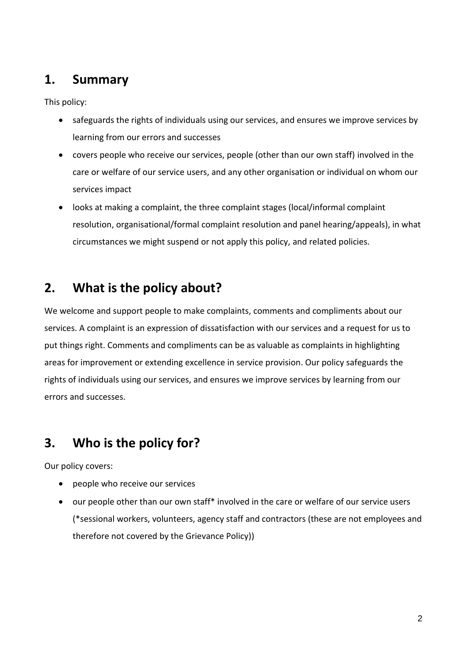## **1. Summary**

This policy:

- safeguards the rights of individuals using our services, and ensures we improve services by learning from our errors and successes
- covers people who receive our services, people (other than our own staff) involved in the care or welfare of our service users, and any other organisation or individual on whom our services impact
- looks at making a complaint, the three complaint stages (local/informal complaint resolution, organisational/formal complaint resolution and panel hearing/appeals), in what circumstances we might suspend or not apply this policy, and related policies.

# **2. What is the policy about?**

We welcome and support people to make complaints, comments and compliments about our services. A complaint is an expression of dissatisfaction with our services and a request for us to put things right. Comments and compliments can be as valuable as complaints in highlighting areas for improvement or extending excellence in service provision. Our policy safeguards the rights of individuals using our services, and ensures we improve services by learning from our errors and successes.

# **3. Who is the policy for?**

Our policy covers:

- people who receive our services
- our people other than our own staff\* involved in the care or welfare of our service users (\*sessional workers, volunteers, agency staff and contractors (these are not employees and therefore not covered by the Grievance Policy))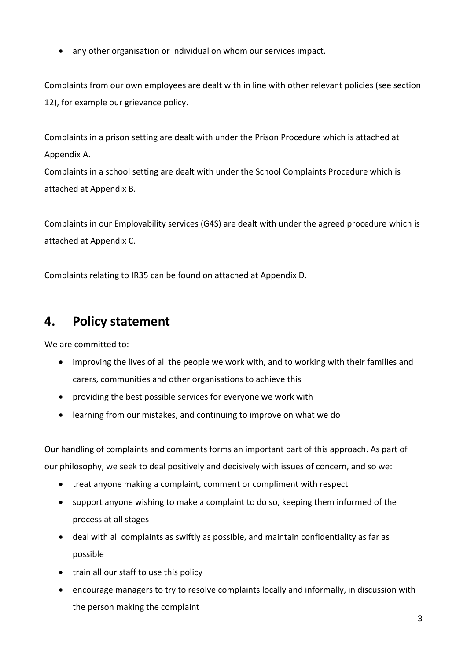• any other organisation or individual on whom our services impact.

Complaints from our own employees are dealt with in line with other relevant policies (see section 12), for example our grievance policy.

Complaints in a prison setting are dealt with under the Prison Procedure which is attached at Appendix A.

Complaints in a school setting are dealt with under the School Complaints Procedure which is attached at Appendix B.

Complaints in our Employability services (G4S) are dealt with under the agreed procedure which is attached at Appendix C.

Complaints relating to IR35 can be found on attached at Appendix D.

## **4. Policy statement**

We are committed to:

- improving the lives of all the people we work with, and to working with their families and carers, communities and other organisations to achieve this
- providing the best possible services for everyone we work with
- learning from our mistakes, and continuing to improve on what we do

Our handling of complaints and comments forms an important part of this approach. As part of our philosophy, we seek to deal positively and decisively with issues of concern, and so we:

- treat anyone making a complaint, comment or compliment with respect
- support anyone wishing to make a complaint to do so, keeping them informed of the process at all stages
- deal with all complaints as swiftly as possible, and maintain confidentiality as far as possible
- train all our staff to use this policy
- encourage managers to try to resolve complaints locally and informally, in discussion with the person making the complaint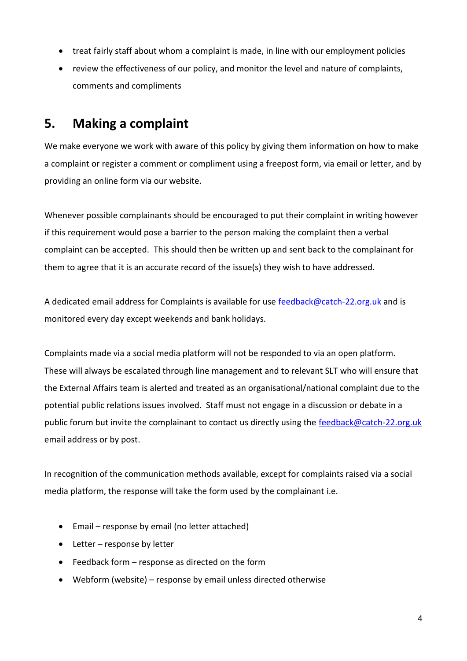- treat fairly staff about whom a complaint is made, in line with our employment policies
- review the effectiveness of our policy, and monitor the level and nature of complaints, comments and compliments

## **5. Making a complaint**

We make everyone we work with aware of this policy by giving them information on how to make a complaint or register a comment or compliment using a freepost form, via email or letter, and by providing an online form via our website.

Whenever possible complainants should be encouraged to put their complaint in writing however if this requirement would pose a barrier to the person making the complaint then a verbal complaint can be accepted. This should then be written up and sent back to the complainant for them to agree that it is an accurate record of the issue(s) they wish to have addressed.

A dedicated email address for Complaints is available for use [feedback@catch-22.org.uk](mailto:feedback@catch-22.org.uk) and is monitored every day except weekends and bank holidays.

Complaints made via a social media platform will not be responded to via an open platform. These will always be escalated through line management and to relevant SLT who will ensure that the External Affairs team is alerted and treated as an organisational/national complaint due to the potential public relations issues involved. Staff must not engage in a discussion or debate in a public forum but invite the complainant to contact us directly using the [feedback@catch-22.org.uk](mailto:feedback@catch-22.org.uk) email address or by post.

In recognition of the communication methods available, except for complaints raised via a social media platform, the response will take the form used by the complainant i.e.

- Email response by email (no letter attached)
- Letter response by letter
- Feedback form response as directed on the form
- Webform (website) response by email unless directed otherwise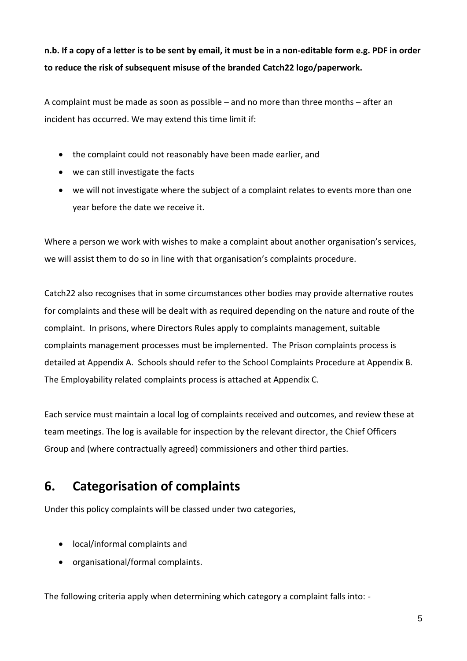## **n.b. If a copy of a letter is to be sent by email, it must be in a non-editable form e.g. PDF in order to reduce the risk of subsequent misuse of the branded Catch22 logo/paperwork.**

A complaint must be made as soon as possible – and no more than three months – after an incident has occurred. We may extend this time limit if:

- the complaint could not reasonably have been made earlier, and
- we can still investigate the facts
- we will not investigate where the subject of a complaint relates to events more than one year before the date we receive it.

Where a person we work with wishes to make a complaint about another organisation's services, we will assist them to do so in line with that organisation's complaints procedure.

Catch22 also recognises that in some circumstances other bodies may provide alternative routes for complaints and these will be dealt with as required depending on the nature and route of the complaint. In prisons, where Directors Rules apply to complaints management, suitable complaints management processes must be implemented. The Prison complaints process is detailed at Appendix A. Schools should refer to the School Complaints Procedure at Appendix B. The Employability related complaints process is attached at Appendix C.

Each service must maintain a local log of complaints received and outcomes, and review these at team meetings. The log is available for inspection by the relevant director, the Chief Officers Group and (where contractually agreed) commissioners and other third parties.

# **6. Categorisation of complaints**

Under this policy complaints will be classed under two categories,

- local/informal complaints and
- organisational/formal complaints.

The following criteria apply when determining which category a complaint falls into: -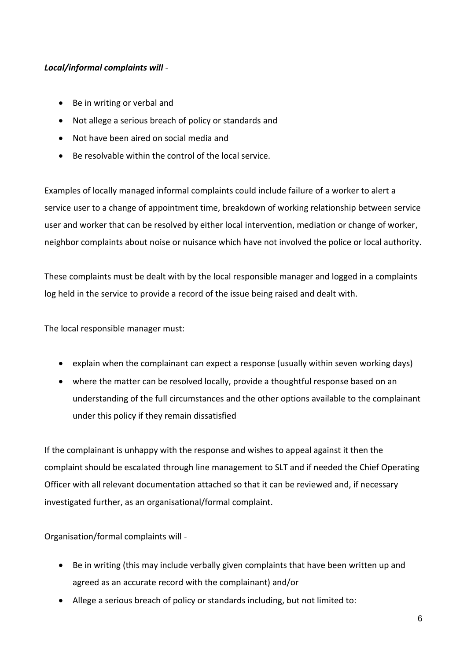#### *Local/informal complaints will* -

- Be in writing or verbal and
- Not allege a serious breach of policy or standards and
- Not have been aired on social media and
- Be resolvable within the control of the local service.

Examples of locally managed informal complaints could include failure of a worker to alert a service user to a change of appointment time, breakdown of working relationship between service user and worker that can be resolved by either local intervention, mediation or change of worker, neighbor complaints about noise or nuisance which have not involved the police or local authority.

These complaints must be dealt with by the local responsible manager and logged in a complaints log held in the service to provide a record of the issue being raised and dealt with.

The local responsible manager must:

- explain when the complainant can expect a response (usually within seven working days)
- where the matter can be resolved locally, provide a thoughtful response based on an understanding of the full circumstances and the other options available to the complainant under this policy if they remain dissatisfied

If the complainant is unhappy with the response and wishes to appeal against it then the complaint should be escalated through line management to SLT and if needed the Chief Operating Officer with all relevant documentation attached so that it can be reviewed and, if necessary investigated further, as an organisational/formal complaint.

Organisation/formal complaints will -

- Be in writing (this may include verbally given complaints that have been written up and agreed as an accurate record with the complainant) and/or
- Allege a serious breach of policy or standards including, but not limited to: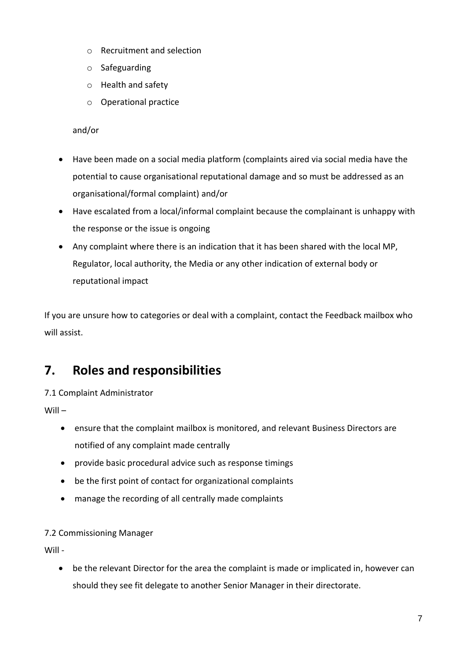- o Recruitment and selection
- o Safeguarding
- o Health and safety
- o Operational practice

and/or

- Have been made on a social media platform (complaints aired via social media have the potential to cause organisational reputational damage and so must be addressed as an organisational/formal complaint) and/or
- Have escalated from a local/informal complaint because the complainant is unhappy with the response or the issue is ongoing
- Any complaint where there is an indication that it has been shared with the local MP, Regulator, local authority, the Media or any other indication of external body or reputational impact

If you are unsure how to categories or deal with a complaint, contact the Feedback mailbox who will assist.

# **7. Roles and responsibilities**

#### 7.1 Complaint Administrator

Will –

- ensure that the complaint mailbox is monitored, and relevant Business Directors are notified of any complaint made centrally
- provide basic procedural advice such as response timings
- be the first point of contact for organizational complaints
- manage the recording of all centrally made complaints

#### 7.2 Commissioning Manager

Will -

• be the relevant Director for the area the complaint is made or implicated in, however can should they see fit delegate to another Senior Manager in their directorate.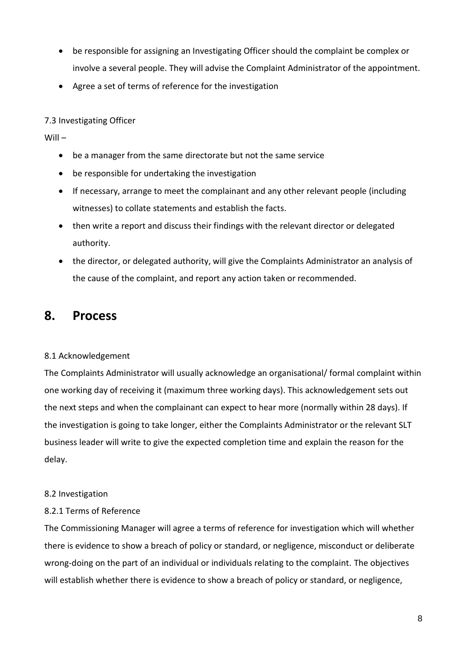- be responsible for assigning an Investigating Officer should the complaint be complex or involve a several people. They will advise the Complaint Administrator of the appointment.
- Agree a set of terms of reference for the investigation

#### 7.3 Investigating Officer

Will –

- be a manager from the same directorate but not the same service
- be responsible for undertaking the investigation
- If necessary, arrange to meet the complainant and any other relevant people (including witnesses) to collate statements and establish the facts.
- then write a report and discuss their findings with the relevant director or delegated authority.
- the director, or delegated authority, will give the Complaints Administrator an analysis of the cause of the complaint, and report any action taken or recommended.

### **8. Process**

#### 8.1 Acknowledgement

The Complaints Administrator will usually acknowledge an organisational/ formal complaint within one working day of receiving it (maximum three working days). This acknowledgement sets out the next steps and when the complainant can expect to hear more (normally within 28 days). If the investigation is going to take longer, either the Complaints Administrator or the relevant SLT business leader will write to give the expected completion time and explain the reason for the delay.

#### 8.2 Investigation

#### 8.2.1 Terms of Reference

The Commissioning Manager will agree a terms of reference for investigation which will whether there is evidence to show a breach of policy or standard, or negligence, misconduct or deliberate wrong-doing on the part of an individual or individuals relating to the complaint. The objectives will establish whether there is evidence to show a breach of policy or standard, or negligence,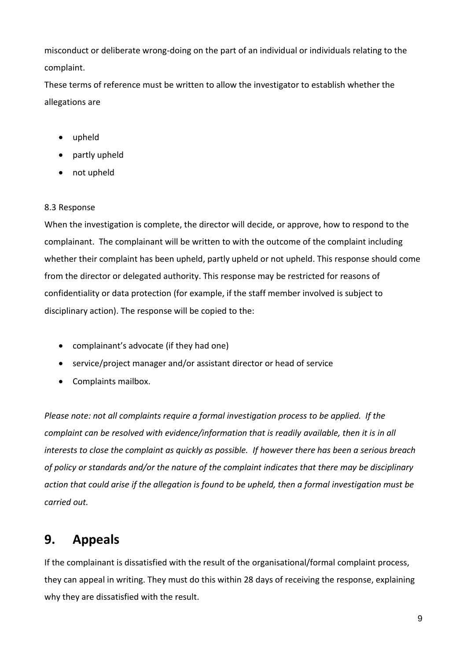misconduct or deliberate wrong-doing on the part of an individual or individuals relating to the complaint.

These terms of reference must be written to allow the investigator to establish whether the allegations are

- upheld
- partly upheld
- not upheld

#### 8.3 Response

When the investigation is complete, the director will decide, or approve, how to respond to the complainant. The complainant will be written to with the outcome of the complaint including whether their complaint has been upheld, partly upheld or not upheld. This response should come from the director or delegated authority. This response may be restricted for reasons of confidentiality or data protection (for example, if the staff member involved is subject to disciplinary action). The response will be copied to the:

- complainant's advocate (if they had one)
- service/project manager and/or assistant director or head of service
- Complaints mailbox.

*Please note: not all complaints require a formal investigation process to be applied. If the complaint can be resolved with evidence/information that is readily available, then it is in all interests to close the complaint as quickly as possible. If however there has been a serious breach of policy or standards and/or the nature of the complaint indicates that there may be disciplinary action that could arise if the allegation is found to be upheld, then a formal investigation must be carried out.*

# **9. Appeals**

If the complainant is dissatisfied with the result of the organisational/formal complaint process, they can appeal in writing. They must do this within 28 days of receiving the response, explaining why they are dissatisfied with the result.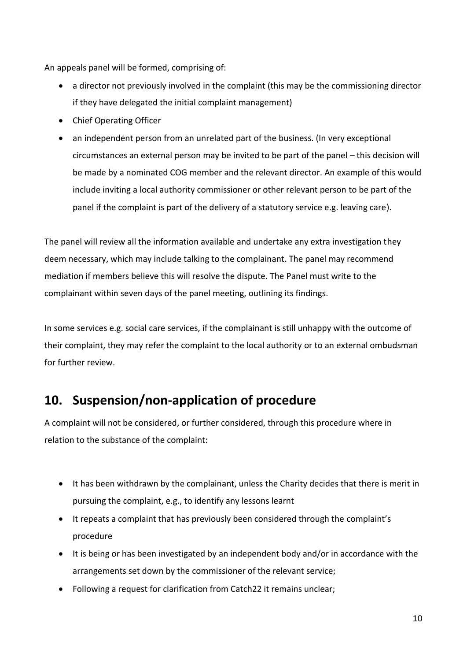An appeals panel will be formed, comprising of:

- a director not previously involved in the complaint (this may be the commissioning director if they have delegated the initial complaint management)
- Chief Operating Officer
- an independent person from an unrelated part of the business. (In very exceptional circumstances an external person may be invited to be part of the panel – this decision will be made by a nominated COG member and the relevant director. An example of this would include inviting a local authority commissioner or other relevant person to be part of the panel if the complaint is part of the delivery of a statutory service e.g. leaving care).

The panel will review all the information available and undertake any extra investigation they deem necessary, which may include talking to the complainant. The panel may recommend mediation if members believe this will resolve the dispute. The Panel must write to the complainant within seven days of the panel meeting, outlining its findings.

In some services e.g. social care services, if the complainant is still unhappy with the outcome of their complaint, they may refer the complaint to the local authority or to an external ombudsman for further review.

## **10. Suspension/non-application of procedure**

A complaint will not be considered, or further considered, through this procedure where in relation to the substance of the complaint:

- It has been withdrawn by the complainant, unless the Charity decides that there is merit in pursuing the complaint, e.g., to identify any lessons learnt
- It repeats a complaint that has previously been considered through the complaint's procedure
- It is being or has been investigated by an independent body and/or in accordance with the arrangements set down by the commissioner of the relevant service;
- Following a request for clarification from Catch22 it remains unclear;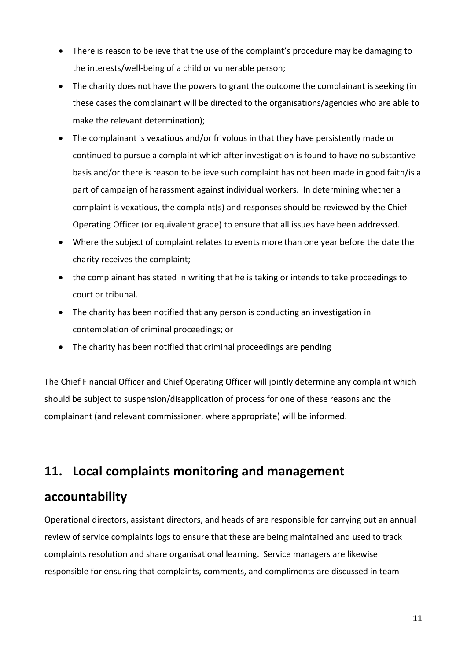- There is reason to believe that the use of the complaint's procedure may be damaging to the interests/well-being of a child or vulnerable person;
- The charity does not have the powers to grant the outcome the complainant is seeking (in these cases the complainant will be directed to the organisations/agencies who are able to make the relevant determination);
- The complainant is vexatious and/or frivolous in that they have persistently made or continued to pursue a complaint which after investigation is found to have no substantive basis and/or there is reason to believe such complaint has not been made in good faith/is a part of campaign of harassment against individual workers. In determining whether a complaint is vexatious, the complaint(s) and responses should be reviewed by the Chief Operating Officer (or equivalent grade) to ensure that all issues have been addressed.
- Where the subject of complaint relates to events more than one year before the date the charity receives the complaint;
- the complainant has stated in writing that he is taking or intends to take proceedings to court or tribunal.
- The charity has been notified that any person is conducting an investigation in contemplation of criminal proceedings; or
- The charity has been notified that criminal proceedings are pending

The Chief Financial Officer and Chief Operating Officer will jointly determine any complaint which should be subject to suspension/disapplication of process for one of these reasons and the complainant (and relevant commissioner, where appropriate) will be informed.

## **11. Local complaints monitoring and management**

## **accountability**

Operational directors, assistant directors, and heads of are responsible for carrying out an annual review of service complaints logs to ensure that these are being maintained and used to track complaints resolution and share organisational learning. Service managers are likewise responsible for ensuring that complaints, comments, and compliments are discussed in team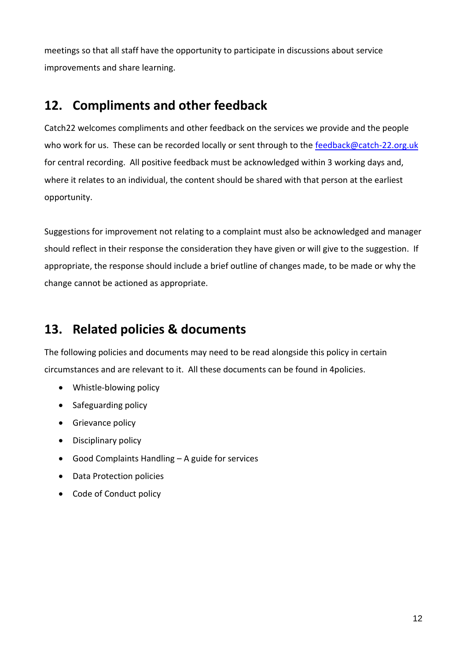meetings so that all staff have the opportunity to participate in discussions about service improvements and share learning.

## **12. Compliments and other feedback**

Catch22 welcomes compliments and other feedback on the services we provide and the people who work for us. These can be recorded locally or sent through to the [feedback@catch-22.org.uk](mailto:feedback@catch-22.org.uk) for central recording. All positive feedback must be acknowledged within 3 working days and, where it relates to an individual, the content should be shared with that person at the earliest opportunity.

Suggestions for improvement not relating to a complaint must also be acknowledged and manager should reflect in their response the consideration they have given or will give to the suggestion. If appropriate, the response should include a brief outline of changes made, to be made or why the change cannot be actioned as appropriate.

# **13. Related policies & documents**

The following policies and documents may need to be read alongside this policy in certain circumstances and are relevant to it. All these documents can be found in 4policies.

- Whistle-blowing policy
- Safeguarding policy
- Grievance policy
- Disciplinary policy
- Good Complaints Handling A guide for services
- Data Protection policies
- Code of Conduct policy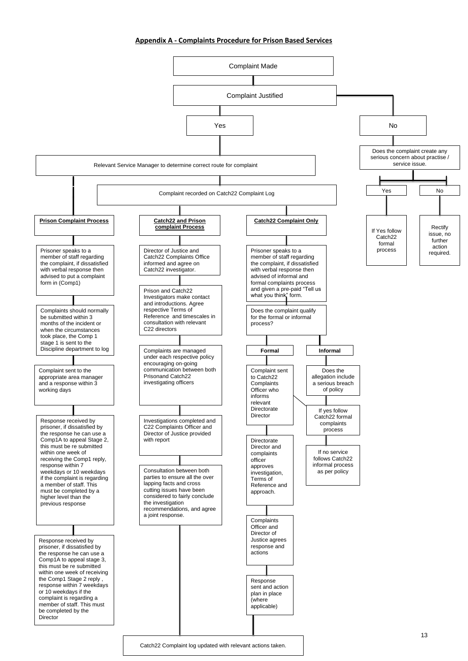#### **Appendix A - Complaints Procedure for Prison Based Services**

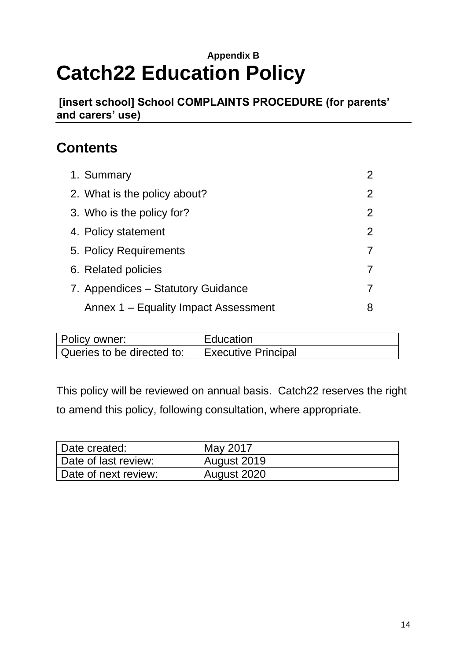# **Appendix B Catch22 Education Policy**

**[insert school] School COMPLAINTS PROCEDURE (for parents' and carers' use)**

# **Contents**

| 1. Summary                           | $\overline{2}$ |
|--------------------------------------|----------------|
| 2. What is the policy about?         | $\overline{2}$ |
| 3. Who is the policy for?            | $\overline{2}$ |
| 4. Policy statement                  | $\overline{2}$ |
| 5. Policy Requirements               |                |
| 6. Related policies                  |                |
| 7. Appendices – Statutory Guidance   |                |
| Annex 1 – Equality Impact Assessment | 8              |

| Policy owner:              | <b>Education</b>    |
|----------------------------|---------------------|
| Queries to be directed to: | Executive Principal |

This policy will be reviewed on annual basis. Catch22 reserves the right to amend this policy, following consultation, where appropriate.

| Date created:        | May 2017    |
|----------------------|-------------|
| Date of last review: | August 2019 |
| Date of next review: | August 2020 |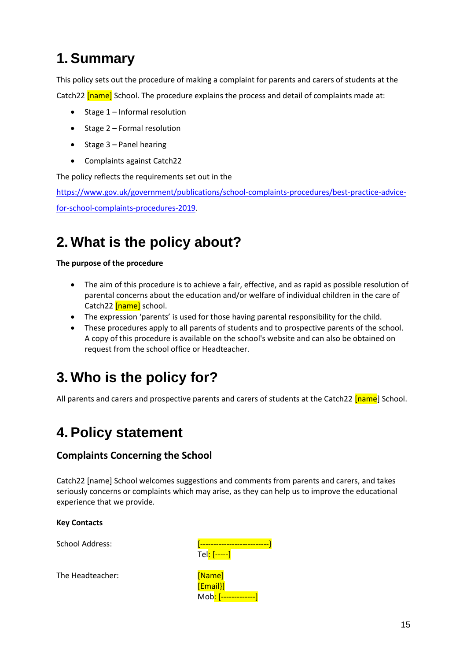# **1. Summary**

This policy sets out the procedure of making a complaint for parents and carers of students at the Catch22 **[name]** School. The procedure explains the process and detail of complaints made at:

- Stage 1 Informal resolution
- Stage 2 Formal resolution
- Stage 3 Panel hearing
- Complaints against Catch22

The policy reflects the requirements set out in the

[https://www.gov.uk/government/publications/school-complaints-procedures/best-practice-advice](https://www.gov.uk/government/publications/school-complaints-procedures/best-practice-advice-for-school-complaints-procedures-2019)[for-school-complaints-procedures-2019.](https://www.gov.uk/government/publications/school-complaints-procedures/best-practice-advice-for-school-complaints-procedures-2019)

# **2. What is the policy about?**

#### **The purpose of the procedure**

- The aim of this procedure is to achieve a fair, effective, and as rapid as possible resolution of parental concerns about the education and/or welfare of individual children in the care of Catch22 [name] school.
- The expression 'parents' is used for those having parental responsibility for the child.
- These procedures apply to all parents of students and to prospective parents of the school. A copy of this procedure is available on the school's website and can also be obtained on request from the school office or Headteacher.

# **3. Who is the policy for?**

All parents and carers and prospective parents and carers of students at the Catch22 [name] School.

# **4. Policy statement**

#### **Complaints Concerning the School**

Catch22 [name] School welcomes suggestions and comments from parents and carers, and takes seriously concerns or complaints which may arise, as they can help us to improve the educational experience that we provide.

#### **Key Contacts**

School Address:

Tel: [-----] [Email}]

Mob<mark>: [------------</mark>]

The Headteacher: [Name]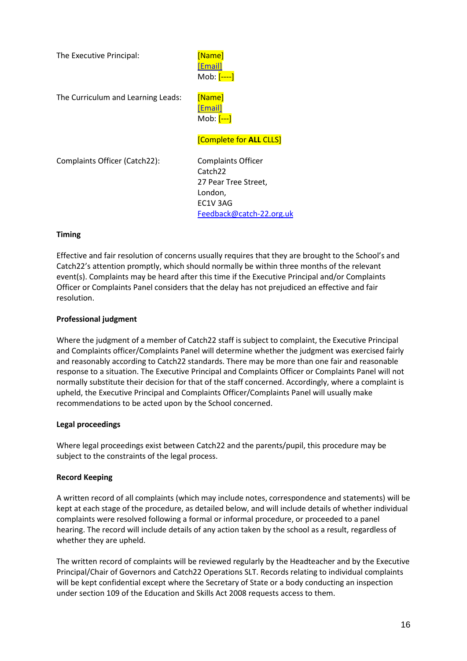The Executive Principal: [Name]

[\[Email\]](mailto:Alan.Waldron@catch-22.org.uk) Mob: [----]

The Curriculum and Learning Leads: [Name]

[\[Email\]](mailto:Carrie.Read@include.org.uk) Mob: [---]

#### [Complete for **ALL** CLLS]

Complaints Officer (Catch22): Complaints Officer

Catch22 27 Pear Tree Street, London, EC1V 3AG [Feedback@catch-22.org.uk](mailto:Feedback@catch-22.org.uk)

#### **Timing**

Effective and fair resolution of concerns usually requires that they are brought to the School's and Catch22's attention promptly, which should normally be within three months of the relevant event(s). Complaints may be heard after this time if the Executive Principal and/or Complaints Officer or Complaints Panel considers that the delay has not prejudiced an effective and fair resolution.

#### **Professional judgment**

Where the judgment of a member of Catch22 staff is subject to complaint, the Executive Principal and Complaints officer/Complaints Panel will determine whether the judgment was exercised fairly and reasonably according to Catch22 standards. There may be more than one fair and reasonable response to a situation. The Executive Principal and Complaints Officer or Complaints Panel will not normally substitute their decision for that of the staff concerned. Accordingly, where a complaint is upheld, the Executive Principal and Complaints Officer/Complaints Panel will usually make recommendations to be acted upon by the School concerned.

#### **Legal proceedings**

Where legal proceedings exist between Catch22 and the parents/pupil, this procedure may be subject to the constraints of the legal process.

#### **Record Keeping**

A written record of all complaints (which may include notes, correspondence and statements) will be kept at each stage of the procedure, as detailed below, and will include details of whether individual complaints were resolved following a formal or informal procedure, or proceeded to a panel hearing. The record will include details of any action taken by the school as a result, regardless of whether they are upheld.

The written record of complaints will be reviewed regularly by the Headteacher and by the Executive Principal/Chair of Governors and Catch22 Operations SLT. Records relating to individual complaints will be kept confidential except where the Secretary of State or a body conducting an inspection under section 109 of the Education and Skills Act 2008 requests access to them.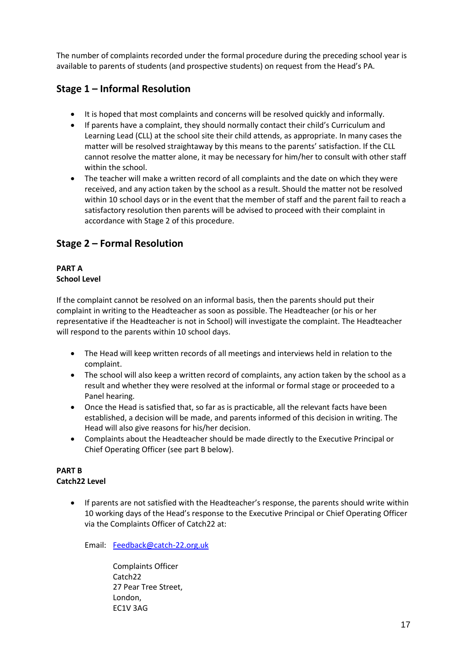The number of complaints recorded under the formal procedure during the preceding school year is available to parents of students (and prospective students) on request from the Head's PA.

#### **Stage 1 – Informal Resolution**

- It is hoped that most complaints and concerns will be resolved quickly and informally.
- If parents have a complaint, they should normally contact their child's Curriculum and Learning Lead (CLL) at the school site their child attends, as appropriate. In many cases the matter will be resolved straightaway by this means to the parents' satisfaction. If the CLL cannot resolve the matter alone, it may be necessary for him/her to consult with other staff within the school.
- The teacher will make a written record of all complaints and the date on which they were received, and any action taken by the school as a result. Should the matter not be resolved within 10 school days or in the event that the member of staff and the parent fail to reach a satisfactory resolution then parents will be advised to proceed with their complaint in accordance with Stage 2 of this procedure.

#### **Stage 2 – Formal Resolution**

#### **PART A School Level**

If the complaint cannot be resolved on an informal basis, then the parents should put their complaint in writing to the Headteacher as soon as possible. The Headteacher (or his or her representative if the Headteacher is not in School) will investigate the complaint. The Headteacher will respond to the parents within 10 school days.

- The Head will keep written records of all meetings and interviews held in relation to the complaint.
- The school will also keep a written record of complaints, any action taken by the school as a result and whether they were resolved at the informal or formal stage or proceeded to a Panel hearing.
- Once the Head is satisfied that, so far as is practicable, all the relevant facts have been established, a decision will be made, and parents informed of this decision in writing. The Head will also give reasons for his/her decision.
- Complaints about the Headteacher should be made directly to the Executive Principal or Chief Operating Officer (see part B below).

#### **PART B Catch22 Level**

• If parents are not satisfied with the Headteacher's response, the parents should write within 10 working days of the Head's response to the Executive Principal or Chief Operating Officer via the Complaints Officer of Catch22 at:

Email: [Feedback@catch-22.org.uk](mailto:Feedback@catch-22.org.uk)

Complaints Officer Catch22 27 Pear Tree Street, London, EC1V 3AG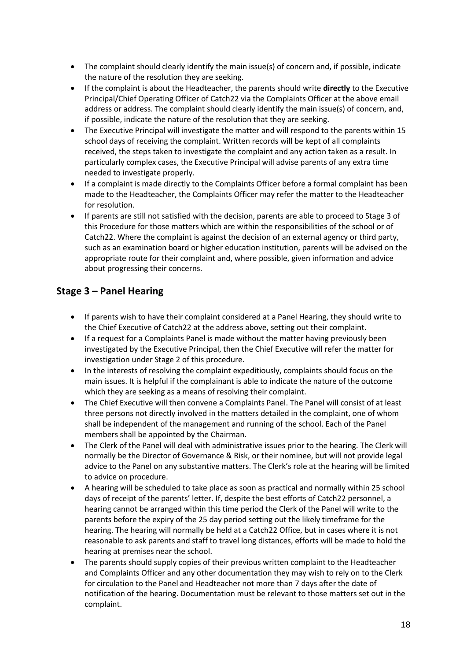- The complaint should clearly identify the main issue(s) of concern and, if possible, indicate the nature of the resolution they are seeking.
- If the complaint is about the Headteacher, the parents should write **directly** to the Executive Principal/Chief Operating Officer of Catch22 via the Complaints Officer at the above email address or address. The complaint should clearly identify the main issue(s) of concern, and, if possible, indicate the nature of the resolution that they are seeking.
- The Executive Principal will investigate the matter and will respond to the parents within 15 school days of receiving the complaint. Written records will be kept of all complaints received, the steps taken to investigate the complaint and any action taken as a result. In particularly complex cases, the Executive Principal will advise parents of any extra time needed to investigate properly.
- If a complaint is made directly to the Complaints Officer before a formal complaint has been made to the Headteacher, the Complaints Officer may refer the matter to the Headteacher for resolution.
- If parents are still not satisfied with the decision, parents are able to proceed to Stage 3 of this Procedure for those matters which are within the responsibilities of the school or of Catch22. Where the complaint is against the decision of an external agency or third party, such as an examination board or higher education institution, parents will be advised on the appropriate route for their complaint and, where possible, given information and advice about progressing their concerns.

#### **Stage 3 – Panel Hearing**

- If parents wish to have their complaint considered at a Panel Hearing, they should write to the Chief Executive of Catch22 at the address above, setting out their complaint.
- If a request for a Complaints Panel is made without the matter having previously been investigated by the Executive Principal, then the Chief Executive will refer the matter for investigation under Stage 2 of this procedure.
- In the interests of resolving the complaint expeditiously, complaints should focus on the main issues. It is helpful if the complainant is able to indicate the nature of the outcome which they are seeking as a means of resolving their complaint.
- The Chief Executive will then convene a Complaints Panel. The Panel will consist of at least three persons not directly involved in the matters detailed in the complaint, one of whom shall be independent of the management and running of the school. Each of the Panel members shall be appointed by the Chairman.
- The Clerk of the Panel will deal with administrative issues prior to the hearing. The Clerk will normally be the Director of Governance & Risk, or their nominee, but will not provide legal advice to the Panel on any substantive matters. The Clerk's role at the hearing will be limited to advice on procedure.
- A hearing will be scheduled to take place as soon as practical and normally within 25 school days of receipt of the parents' letter. If, despite the best efforts of Catch22 personnel, a hearing cannot be arranged within this time period the Clerk of the Panel will write to the parents before the expiry of the 25 day period setting out the likely timeframe for the hearing. The hearing will normally be held at a Catch22 Office, but in cases where it is not reasonable to ask parents and staff to travel long distances, efforts will be made to hold the hearing at premises near the school.
- The parents should supply copies of their previous written complaint to the Headteacher and Complaints Officer and any other documentation they may wish to rely on to the Clerk for circulation to the Panel and Headteacher not more than 7 days after the date of notification of the hearing. Documentation must be relevant to those matters set out in the complaint.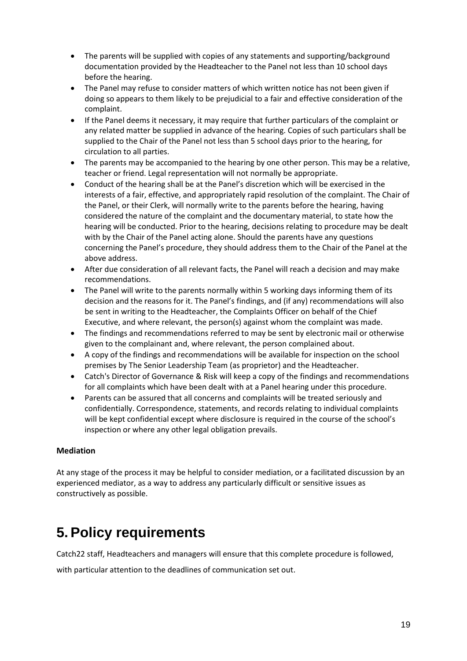- The parents will be supplied with copies of any statements and supporting/background documentation provided by the Headteacher to the Panel not less than 10 school days before the hearing.
- The Panel may refuse to consider matters of which written notice has not been given if doing so appears to them likely to be prejudicial to a fair and effective consideration of the complaint.
- If the Panel deems it necessary, it may require that further particulars of the complaint or any related matter be supplied in advance of the hearing. Copies of such particulars shall be supplied to the Chair of the Panel not less than 5 school days prior to the hearing, for circulation to all parties.
- The parents may be accompanied to the hearing by one other person. This may be a relative, teacher or friend. Legal representation will not normally be appropriate.
- Conduct of the hearing shall be at the Panel's discretion which will be exercised in the interests of a fair, effective, and appropriately rapid resolution of the complaint. The Chair of the Panel, or their Clerk, will normally write to the parents before the hearing, having considered the nature of the complaint and the documentary material, to state how the hearing will be conducted. Prior to the hearing, decisions relating to procedure may be dealt with by the Chair of the Panel acting alone. Should the parents have any questions concerning the Panel's procedure, they should address them to the Chair of the Panel at the above address.
- After due consideration of all relevant facts, the Panel will reach a decision and may make recommendations.
- The Panel will write to the parents normally within 5 working days informing them of its decision and the reasons for it. The Panel's findings, and (if any) recommendations will also be sent in writing to the Headteacher, the Complaints Officer on behalf of the Chief Executive, and where relevant, the person(s) against whom the complaint was made.
- The findings and recommendations referred to may be sent by electronic mail or otherwise given to the complainant and, where relevant, the person complained about.
- A copy of the findings and recommendations will be available for inspection on the school premises by The Senior Leadership Team (as proprietor) and the Headteacher.
- Catch's Director of Governance & Risk will keep a copy of the findings and recommendations for all complaints which have been dealt with at a Panel hearing under this procedure.
- Parents can be assured that all concerns and complaints will be treated seriously and confidentially. Correspondence, statements, and records relating to individual complaints will be kept confidential except where disclosure is required in the course of the school's inspection or where any other legal obligation prevails.

#### **Mediation**

At any stage of the process it may be helpful to consider mediation, or a facilitated discussion by an experienced mediator, as a way to address any particularly difficult or sensitive issues as constructively as possible.

# **5. Policy requirements**

Catch22 staff, Headteachers and managers will ensure that this complete procedure is followed,

with particular attention to the deadlines of communication set out.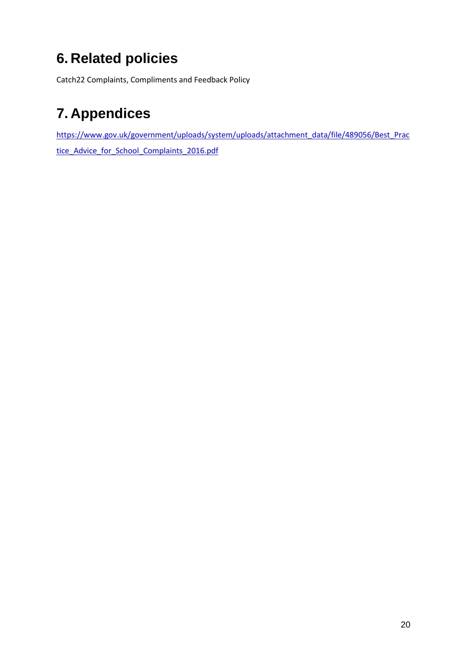# **6. Related policies**

Catch22 Complaints, Compliments and Feedback Policy

# **7. Appendices**

[https://www.gov.uk/government/uploads/system/uploads/attachment\\_data/file/489056/Best\\_Prac](https://www.gov.uk/government/uploads/system/uploads/attachment_data/file/489056/Best_Practice_Advice_for_School_Complaints_2016.pdf) [tice\\_Advice\\_for\\_School\\_Complaints\\_2016.pdf](https://www.gov.uk/government/uploads/system/uploads/attachment_data/file/489056/Best_Practice_Advice_for_School_Complaints_2016.pdf)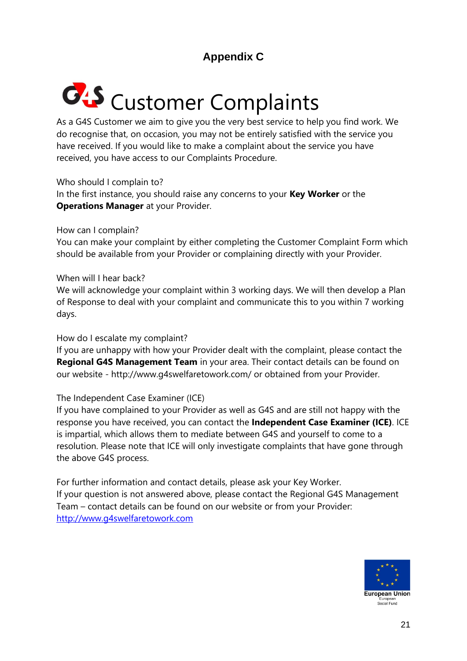## **Appendix C**

# **C**<sup>1</sup>S Customer Complaints

As a G4S Customer we aim to give you the very best service to help you find work. We do recognise that, on occasion, you may not be entirely satisfied with the service you have received. If you would like to make a complaint about the service you have received, you have access to our Complaints Procedure.

Who should I complain to?

In the first instance, you should raise any concerns to your **Key Worker** or the **Operations Manager** at your Provider.

How can I complain?

You can make your complaint by either completing the Customer Complaint Form which should be available from your Provider or complaining directly with your Provider.

When will I hear back?

We will acknowledge your complaint within 3 working days. We will then develop a Plan of Response to deal with your complaint and communicate this to you within 7 working days.

#### How do I escalate my complaint?

If you are unhappy with how your Provider dealt with the complaint, please contact the **Regional G4S Management Team** in your area. Their contact details can be found on our website - http://www.g4swelfaretowork.com/ or obtained from your Provider.

#### The Independent Case Examiner (ICE)

If you have complained to your Provider as well as G4S and are still not happy with the response you have received, you can contact the **Independent Case Examiner (ICE)**. ICE is impartial, which allows them to mediate between G4S and yourself to come to a resolution. Please note that ICE will only investigate complaints that have gone through the above G4S process.

For further information and contact details, please ask your Key Worker. If your question is not answered above, please contact the Regional G4S Management Team – contact details can be found on our website or from your Provider: [http://www.g4swelfaretowork.com](http://www.g4swelfaretowork.com/)

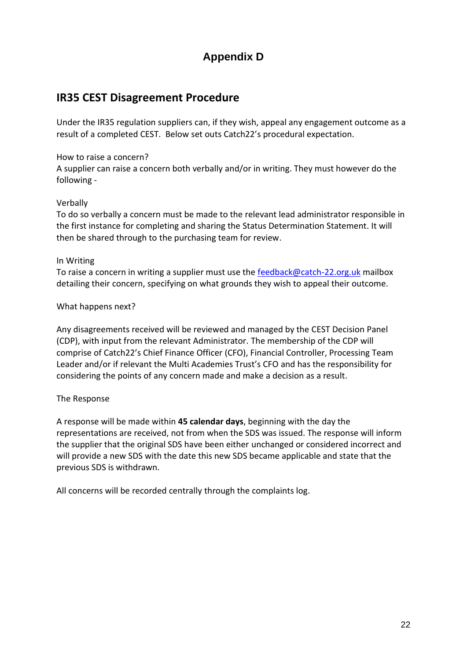## **Appendix D**

## **IR35 CEST Disagreement Procedure**

Under the IR35 regulation suppliers can, if they wish, appeal any engagement outcome as a result of a completed CEST. Below set outs Catch22's procedural expectation.

#### How to raise a concern?

A supplier can raise a concern both verbally and/or in writing. They must however do the following -

#### Verbally

To do so verbally a concern must be made to the relevant lead administrator responsible in the first instance for completing and sharing the Status Determination Statement. It will then be shared through to the purchasing team for review.

#### In Writing

To raise a concern in writing a supplier must use the [feedback@catch-22.org.uk](mailto:feedback@catch-22.org.uk) mailbox detailing their concern, specifying on what grounds they wish to appeal their outcome.

#### What happens next?

Any disagreements received will be reviewed and managed by the CEST Decision Panel (CDP), with input from the relevant Administrator. The membership of the CDP will comprise of Catch22's Chief Finance Officer (CFO), Financial Controller, Processing Team Leader and/or if relevant the Multi Academies Trust's CFO and has the responsibility for considering the points of any concern made and make a decision as a result.

#### The Response

A response will be made within **45 calendar days**, beginning with the day the representations are received, not from when the SDS was issued. The response will inform the supplier that the original SDS have been either unchanged or considered incorrect and will provide a new SDS with the date this new SDS became applicable and state that the previous SDS is withdrawn.

All concerns will be recorded centrally through the complaints log.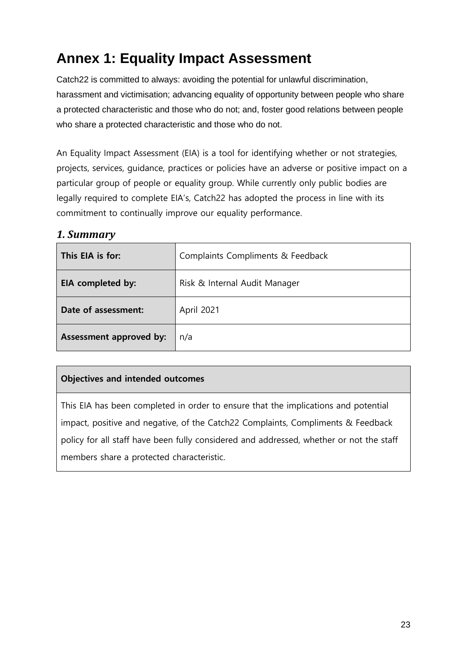# **Annex 1: Equality Impact Assessment**

Catch22 is committed to always: avoiding the potential for unlawful discrimination, harassment and victimisation; advancing equality of opportunity between people who share a protected characteristic and those who do not; and, foster good relations between people who share a protected characteristic and those who do not.

An Equality Impact Assessment (EIA) is a tool for identifying whether or not strategies, projects, services, guidance, practices or policies have an adverse or positive impact on a particular group of people or equality group. While currently only public bodies are legally required to complete EIA's, Catch22 has adopted the process in line with its commitment to continually improve our equality performance.

#### *1. Summary*

| This EIA is for:        | Complaints Compliments & Feedback |
|-------------------------|-----------------------------------|
| EIA completed by:       | Risk & Internal Audit Manager     |
| Date of assessment:     | April 2021                        |
| Assessment approved by: | n/a                               |

#### **Objectives and intended outcomes**

This EIA has been completed in order to ensure that the implications and potential impact, positive and negative, of the Catch22 Complaints, Compliments & Feedback policy for all staff have been fully considered and addressed, whether or not the staff members share a protected characteristic.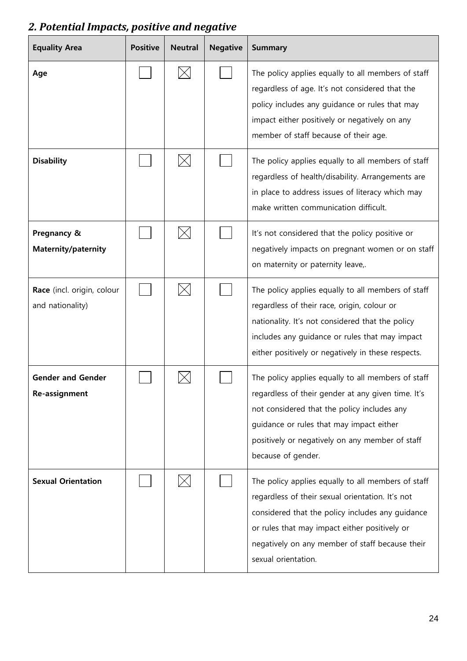# *2. Potential Impacts, positive and negative*

| <b>Equality Area</b>                           | <b>Positive</b> | <b>Neutral</b> | <b>Negative</b> | <b>Summary</b>                                                                                                                                                                                                                                                                        |
|------------------------------------------------|-----------------|----------------|-----------------|---------------------------------------------------------------------------------------------------------------------------------------------------------------------------------------------------------------------------------------------------------------------------------------|
| Age                                            |                 |                |                 | The policy applies equally to all members of staff<br>regardless of age. It's not considered that the<br>policy includes any guidance or rules that may<br>impact either positively or negatively on any<br>member of staff because of their age.                                     |
| <b>Disability</b>                              |                 |                |                 | The policy applies equally to all members of staff<br>regardless of health/disability. Arrangements are<br>in place to address issues of literacy which may<br>make written communication difficult.                                                                                  |
| Pregnancy &<br>Maternity/paternity             |                 |                |                 | It's not considered that the policy positive or<br>negatively impacts on pregnant women or on staff<br>on maternity or paternity leave,.                                                                                                                                              |
| Race (incl. origin, colour<br>and nationality) |                 |                |                 | The policy applies equally to all members of staff<br>regardless of their race, origin, colour or<br>nationality. It's not considered that the policy<br>includes any guidance or rules that may impact<br>either positively or negatively in these respects.                         |
| <b>Gender and Gender</b><br>Re-assignment      |                 |                |                 | The policy applies equally to all members of staff<br>regardless of their gender at any given time. It's<br>not considered that the policy includes any<br>guidance or rules that may impact either<br>positively or negatively on any member of staff<br>because of gender.          |
| <b>Sexual Orientation</b>                      |                 |                |                 | The policy applies equally to all members of staff<br>regardless of their sexual orientation. It's not<br>considered that the policy includes any guidance<br>or rules that may impact either positively or<br>negatively on any member of staff because their<br>sexual orientation. |